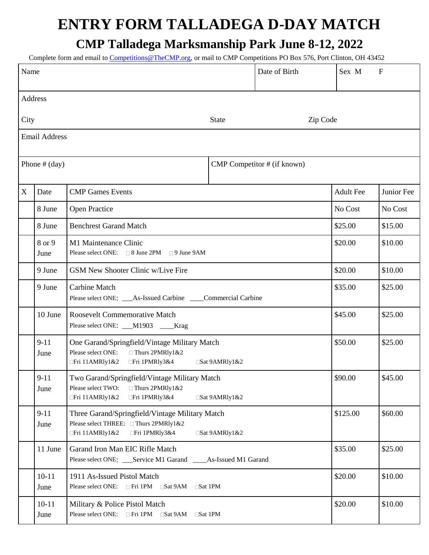## **ENTRY FORM TALLADEGA D-DAY MATCH**

## **CMP Talladega Marksmanship Park June 8-12, 2022**

Complete form and email to [Competitions@TheCMP.org,](mailto:Competitions@TheCMP.org) or mail to CMP Competitions PO Box 576, Port Clinton, OH 43452

| Name                 |                                                                                                  |                                                                                                                                                                     |                             | Date of Birth | Sex M            | $\mathbf{F}$ |  |
|----------------------|--------------------------------------------------------------------------------------------------|---------------------------------------------------------------------------------------------------------------------------------------------------------------------|-----------------------------|---------------|------------------|--------------|--|
|                      | Address                                                                                          |                                                                                                                                                                     |                             |               |                  |              |  |
| City                 |                                                                                                  |                                                                                                                                                                     | <b>State</b>                | Zip Code      |                  |              |  |
| <b>Email Address</b> |                                                                                                  |                                                                                                                                                                     |                             |               |                  |              |  |
| Phone $#$ (day)      |                                                                                                  |                                                                                                                                                                     | CMP Competitor # (if known) |               |                  |              |  |
| X                    | Date                                                                                             | <b>CMP</b> Games Events                                                                                                                                             |                             |               | <b>Adult Fee</b> | Junior Fee   |  |
|                      | 8 June                                                                                           | Open Practice                                                                                                                                                       |                             |               | No Cost          | No Cost      |  |
|                      | 8 June                                                                                           | <b>Benchrest Garand Match</b>                                                                                                                                       |                             |               | \$25.00          | \$15.00      |  |
|                      | 8 or 9<br>M1 Maintenance Clinic<br>Please select ONE: □ 8 June 2PM □ 9 June 9AM<br>June          |                                                                                                                                                                     |                             |               | \$20.00          | \$10.00      |  |
|                      | 9 June                                                                                           | GSM New Shooter Clinic w/Live Fire                                                                                                                                  |                             |               |                  | \$10.00      |  |
|                      | <b>Carbine Match</b><br>9 June<br>Please select ONE: ___As-Issued Carbine ____Commercial Carbine |                                                                                                                                                                     |                             |               | \$35.00          | \$25.00      |  |
|                      | 10 June                                                                                          | Roosevelt Commemorative Match<br>Please select ONE: ___M1903 ____Krag                                                                                               |                             |               | \$45.00          | \$25.00      |  |
|                      | $9 - 11$<br>June                                                                                 | One Garand/Springfield/Vintage Military Match<br>Please select ONE: $\Box$ Thurs 2PMRIy1&2<br>$\Box$ Fri 11AMRly1&2 $\Box$ Fri 1PMRly3&4<br>$\square$ Sat 9AMRly1&2 |                             |               | \$50.00          | \$25.00      |  |
|                      | $9-11$<br>June                                                                                   | Two Garand/Springfield/Vintage Military Match<br>Please select TWO:<br>$\Box$ Thurs 2PMRly1&2<br>□Fri 1PMRly3&4<br>$\Box$ Fri 11AMRly1&2<br>□Sat 9AMRly1&2          |                             |               | \$90.00          | \$45.00      |  |
|                      | $9 - 11$<br>June                                                                                 | Three Garand/Springfield/Vintage Military Match<br>Please select THREE: □ Thurs 2PMRly1&2<br>$\Box$ Fri 11AMRly1&2<br>□Fri 1PMRly3&4                                | □Sat 9AMRly1&2              |               | \$125.00         | \$60.00      |  |
|                      | 11 June                                                                                          | Garand Iron Man EIC Rifle Match<br>Please select ONE: ____Service M1 Garand _____As-Issued M1 Garand                                                                |                             |               | \$35.00          | \$25.00      |  |
|                      | $10 - 11$<br>June                                                                                | 1911 As-Issued Pistol Match<br>Please select ONE: □ Fri 1PM □ Sat 9AM □ Sat 1PM                                                                                     |                             |               | \$20.00          | \$10.00      |  |
|                      | $10 - 11$<br>June                                                                                | Military & Police Pistol Match<br>Please select ONE: □ Fri 1PM □ Sat 9AM □ Sat 1PM                                                                                  |                             |               | \$20.00          | \$10.00      |  |